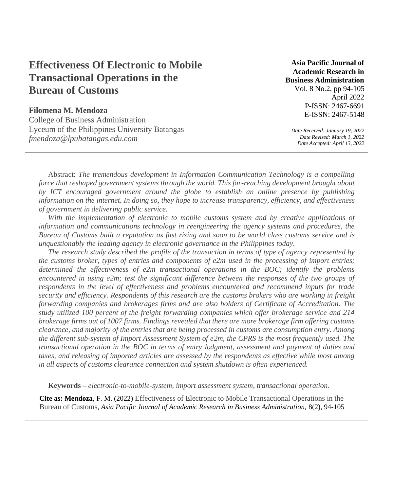# **Effectiveness Of Electronic to Mobile Transactional Operations in the Bureau of Customs**

# **Filomena M. Mendoza**

College of Business Administration Lyceum of the Philippines University Batangas *fmendoza@lpubatangas.edu.com*

**Asia Pacific Journal of Academic Research in Business Administration**  Vol. 8 No.2, pp 94-105 April 2022 P-ISSN: 2467-6691

*Date Received: January 19, 2022 Date Revised: March 1, 2022 Date Accepted: April 13, 2022* 

E-ISSN: 2467-5148

Abstract: *The tremendous development in Information Communication Technology is a compelling force that reshaped government systems through the world. This far-reaching development brought about by ICT encouraged government around the globe to establish an online presence by publishing information on the internet. In doing so, they hope to increase transparency, efficiency, and effectiveness of government in delivering public service.*

With the implementation of electronic to mobile customs system and by creative applications of *information and communications technology in reengineering the agency systems and procedures, the Bureau of Customs built a reputation as fast rising and soon to be world class customs service and is unquestionably the leading agency in electronic governance in the Philippines today.*

*The research study described the profile of the transaction in terms of type of agency represented by the customs broker, types of entries and components of e2m used in the processing of import entries; determined the effectiveness of e2m transactional operations in the BOC; identify the problems*  encountered in using e2m; test the significant difference between the responses of the two groups of *respondents in the level of effectiveness and problems encountered and recommend inputs for trade security and efficiency. Respondents of this research are the customs brokers who are working in freight forwarding companies and brokerages firms and are also holders of Certificate of Accreditation. The study utilized 100 percent of the freight forwarding companies which offer brokerage service and 214 brokerage firms out of 1007 firms. Findings revealed that there are more brokerage firm offering customs clearance, and majority of the entries that are being processed in customs are consumption entry. Among the different sub-system of Import Assessment System of e2m, the CPRS is the most frequently used. The transactional operation in the BOC in terms of entry lodgment, assessment and payment of duties and taxes, and releasing of imported articles are assessed by the respondents as effective while most among in all aspects of customs clearance connection and system shutdown is often experienced.*

**Keywords –** *electronic-to-mobile-system, import assessment system, transactional operation*.

**Cite as: Mendoza**, F. M. (2022) Effectiveness of Electronic to Mobile Transactional Operations in the Bureau of Customs, *Asia Pacific Journal of Academic Research in Business Administration,* 8(2), 94-105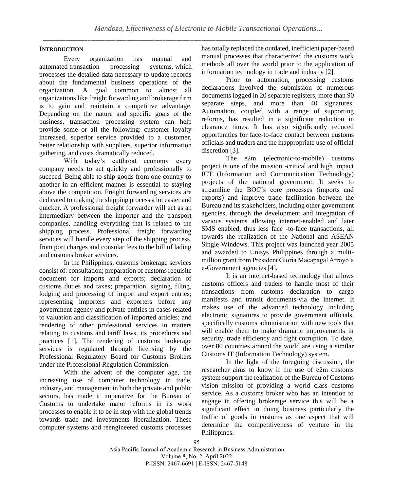# **INTRODUCTION**

Every organization has manual and automated transaction processing systems, which processes the detailed data necessary to update records about the fundamental business operations of the organization. A goal common to almost all organizations like freight forwarding and brokerage firm is to gain and maintain a competitive advantage. Depending on the nature and specific goals of the business, transaction processing system can help provide some or all the following: customer loyalty increased, superior service provided to a customer, better relationship with suppliers, superior information gathering, and costs dramatically reduced.

With today's cutthroat economy every company needs to act quickly and professionally to succeed. Being able to ship goods from one country to another in an efficient manner is essential to staying above the competition. Freight forwarding services are dedicated to making the shipping process a lot easier and quicker. A professional freight forwarder will act as an intermediary between the importer and the transport companies, handling everything that is related to the shipping process. Professional freight forwarding services will handle every step of the shipping process, from port charges and consular fees to the bill of lading and customs broker services.

In the Philippines, customs brokerage services consist of: consultation; preparation of customs requisite document for imports and exports; declaration of customs duties and taxes; preparation, signing, filing, lodging and processing of import and export entries; representing importers and exporters before any government agency and private entities in cases related to valuation and classification of imported articles; and rendering of other professional services in matters relating to customs and tariff laws, its procedures and practices [1]. The rendering of customs brokerage services is regulated through licensing by the Professional Regulatory Board for Customs Brokers under the Professional Regulation Commission.

With the advent of the computer age, the increasing use of computer technology in trade, industry, and management in both the private and public sectors, has made it imperative for the Bureau of Customs to undertake major reforms in its work processes to enable it to be in step with the global trends towards trade and investments liberalization. These computer systems and reengineered customs processes has totally replaced the outdated, inefficient paper-based manual processes that characterized the customs work methods all over the world prior to the application of information technology in trade and industry [2].

Prior to automation, processing customs declarations involved the submission of numerous documents logged in 20 separate registers, more than 90 separate steps, and more than 40 signatures. Automation, coupled with a range of supporting reforms, has resulted in a significant reduction in clearance times. It has also significantly reduced opportunities for face-to-face contact between customs officials and traders and the inappropriate use of official discretion [3].

The e2m (electronic-to-mobile) customs project is one of the mission -critical and high impact ICT (Information and Communication Technology) projects of the national government. It seeks to streamline the BOC's core processes (imports and exports) and improve trade facilitation between the Bureau and its stakeholders, including other government agencies, through the development and integration of various systems allowing internet-enabled and later SMS enabled, thus less face -to-face transactions, all towards the realization of the National and ASEAN Single Windows. This project was launched year 2005 and awarded to Unisys Philippines through a multimillion grant from President Gloria Macapagal Arroyo's e-Government agencies [4].

It is an internet-based technology that allows customs officers and traders to handle most of their transactions from customs declaration to cargo manifests and transit documents-via the internet. It makes use of the advanced technology including electronic signatures to provide government officials, specifically customs administration with new tools that will enable them to make dramatic improvements in security, trade efficiency and fight corruption. To date, over 80 countries around the world are using a similar Customs IT (Information Technology) system.

In the light of the foregoing discussion, the researcher aims to know if the use of e2m customs system support the realization of the Bureau of Customs vision mission of providing a world class customs service. As a customs broker who has an intention to engage in offering brokerage service this will be a significant effect in doing business particularly the traffic of goods in customs as one aspect that will determine the competitiveness of venture in the Philippines.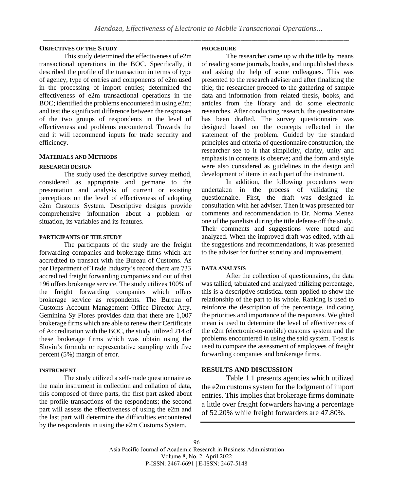## **OBJECTIVES OF THE STUDY**

This study determined the effectiveness of e2m transactional operations in the BOC. Specifically, it described the profile of the transaction in terms of type of agency, type of entries and components of e2m used in the processing of import entries; determined the effectiveness of e2m transactional operations in the BOC; identified the problems encountered in using e2m; and test the significant difference between the responses of the two groups of respondents in the level of effectiveness and problems encountered. Towards the end it will recommend inputs for trade security and efficiency.

## **MATERIALS AND METHODS**

#### **RESEARCH DESIGN**

The study used the descriptive survey method, considered as appropriate and germane to the presentation and analysis of current or existing perceptions on the level of effectiveness of adopting e2m Customs System. Descriptive designs provide comprehensive information about a problem or situation, its variables and its features.

## **PARTICIPANTS OF THE STUDY**

The participants of the study are the freight forwarding companies and brokerage firms which are accredited to transact with the Bureau of Customs. As per Department of Trade Industry's record there are 733 accredited freight forwarding companies and out of that 196 offers brokerage service. The study utilizes 100% of the freight forwarding companies which offers brokerage service as respondents. The Bureau of Customs Account Management Office Director Atty. Geminina Sy Flores provides data that there are 1,007 brokerage firms which are able to renew their Certificate of Accreditation with the BOC, the study utilized 214 of these brokerage firms which was obtain using the Slovin's formula or representative sampling with five percent (5%) margin of error.

#### **INSTRUMENT**

The study utilized a self-made questionnaire as the main instrument in collection and collation of data, this composed of three parts, the first part asked about the profile transactions of the respondents; the second part will assess the effectiveness of using the e2m and the last part will determine the difficulties encountered by the respondents in using the e2m Customs System.

#### **PROCEDURE**

The researcher came up with the title by means of reading some journals, books, and unpublished thesis and asking the help of some colleagues. This was presented to the research adviser and after finalizing the title; the researcher proceed to the gathering of sample data and information from related thesis, books, and articles from the library and do some electronic researches. After conducting research, the questionnaire has been drafted. The survey questionnaire was designed based on the concepts reflected in the statement of the problem. Guided by the standard principles and criteria of questionnaire construction, the researcher see to it that simplicity, clarity, unity and emphasis in contents is observe; and the form and style were also considered as guidelines in the design and development of items in each part of the instrument.

In addition, the following procedures were undertaken in the process of validating the questionnaire. First, the draft was designed in consultation with her adviser. Then it was presented for comments and recommendation to Dr. Norma Menez one of the panelists during the title defense off the study. Their comments and suggestions were noted and analyzed. When the improved draft was edited, with all the suggestions and recommendations, it was presented to the adviser for further scrutiny and improvement.

#### **DATA ANALYSIS**

After the collection of questionnaires, the data was tallied, tabulated and analyzed utilizing percentage, this is a descriptive statistical term applied to show the relationship of the part to its whole. Ranking is used to reinforce the description of the percentage, indicating the priorities and importance of the responses. Weighted mean is used to determine the level of effectiveness of the e2m (electronic-to-mobile) customs system and the problems encountered in using the said system. T-test is used to compare the assessment of employees of freight forwarding companies and brokerage firms.

## **RESULTS AND DISCUSSION**

Table 1.1 presents agencies which utilized the e2m customs system for the lodgment of import entries. This implies that brokerage firms dominate a little over freight forwarders having a percentage of 52.20% while freight forwarders are 47.80%.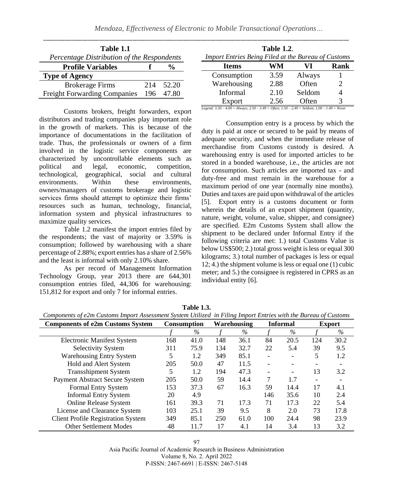| Table 1.1                                  |     |           |
|--------------------------------------------|-----|-----------|
| Percentage Distribution of the Respondents |     |           |
| <b>Profile Variables</b>                   |     | %         |
| <b>Type of Agency</b>                      |     |           |
| <b>Brokerage Firms</b>                     | 214 | 52.20     |
| <b>Freight Forwarding Companies</b>        |     | 196 47.80 |

Customs brokers, freight forwarders, export distributors and trading companies play important role in the growth of markets. This is because of the importance of documentations in the facilitation of trade. Thus, the professionals or owners of a firm involved in the logistic service components are characterized by uncontrollable elements such as political and legal, economic, competition, technological, geographical, social and cultural environments. Within these environments, owners/managers of customs brokerage and logistic services firms should attempt to optimize their firms' resources such as human, technology, financial, information system and physical infrastructures to maximize quality services.

Table 1.2 manifest the import entries filed by the respondents; the vast of majority or 3.59% is consumption; followed by warehousing with a share percentage of 2.88%; export entries has a share of 2.56% and the least is informal with only 2.10% share.

As per record of Management Information Technology Group, year 2013 there are 644,301 consumption entries filed, 44,306 for warehousing: 151,812 for export and only 7 for informal entries.

|                                                     | <b>Table 1.2.</b> |        |      |
|-----------------------------------------------------|-------------------|--------|------|
| Import Entries Being Filed at the Bureau of Customs |                   |        |      |
| <b>Items</b>                                        | WM                | VI     | Rank |
| Consumption                                         | 3.59              | Always |      |
| Warehousing                                         | 2.88              | Often  | 2    |
| Informal                                            | 2.10              | Seldom |      |
| Export                                              | 2.56              | Often  | 3    |

*Legend: 3.50 – 4.00 = Always; 2.50 – 3.49 = Often; 1.50 – 2.49 = Seldom; 1.00 – 1.49 = Never*

Consumption entry is a process by which the duty is paid at once or secured to be paid by means of adequate security, and when the immediate release of merchandise from Customs custody is desired. A warehousing entry is used for imported articles to be stored in a bonded warehouse, i.e., the articles are not for consumption. Such articles are imported tax - and duty-free and must remain in the warehouse for a maximum period of one year (normally nine months). Duties and taxes are paid upon withdrawal of the articles [5]. Export entry is a customs document or form wherein the details of an export shipment (quantity, nature, weight, volume, value, shipper, and consignee) are specified. E2m Customs System shall allow the shipment to be declared under Informal Entry if the following criteria are met: 1.) total Customs Value is below US\$500; 2.) total gross weight is less or equal 300 kilograms; 3.) total number of packages is less or equal 12; 4.) the shipment volume is less or equal one (1) cubic meter; and 5.) the consignee is registered in CPRS as an individual entity [6].

| Components of e2m Customs Import Assessment System Utilized in Filing Import Entries with the Bureau of Customs |     |             |     |                    |                |                 |               |      |
|-----------------------------------------------------------------------------------------------------------------|-----|-------------|-----|--------------------|----------------|-----------------|---------------|------|
| <b>Components of e2m Customs System</b>                                                                         |     | Consumption |     | <b>Warehousing</b> |                | <b>Informal</b> | <b>Export</b> |      |
|                                                                                                                 |     | $\%$        |     | $\%$               |                | $\%$            |               | $\%$ |
| <b>Electronic Manifest System</b>                                                                               | 168 | 41.0        | 148 | 36.1               | 84             | 20.5            | 124           | 30.2 |
| <b>Selectivity System</b>                                                                                       | 311 | 75.9        | 134 | 32.7               | 22             | 5.4             | 39            | 9.5  |
| <b>Warehousing Entry System</b>                                                                                 | 5   | 1.2         | 349 | 85.1               | ٠              |                 | 5             | 1.2  |
| <b>Hold and Alert System</b>                                                                                    | 205 | 50.0        | 47  | 11.5               | $\blacksquare$ |                 |               |      |
| <b>Transshipment System</b>                                                                                     | 5   | 1.2         | 194 | 47.3               |                | ۰               | 13            | 3.2  |
| <b>Payment Abstract Secure System</b>                                                                           | 205 | 50.0        | 59  | 14.4               | 7              | 1.7             |               |      |
| Formal Entry System                                                                                             | 153 | 37.3        | 67  | 16.3               | 59             | 14.4            | 17            | 4.1  |
| <b>Informal Entry System</b>                                                                                    | 20  | 4.9         |     |                    | 146            | 35.6            | 10            | 2.4  |
| Online Release System                                                                                           | 161 | 39.3        | 71  | 17.3               | 71             | 17.3            | 22            | 5.4  |
| License and Clearance System                                                                                    | 103 | 25.1        | 39  | 9.5                | 8              | 2.0             | 73            | 17.8 |
| <b>Client Profile Registration System</b>                                                                       | 349 | 85.1        | 250 | 61.0               | 100            | 24.4            | 98            | 23.9 |
| <b>Other Settlement Modes</b>                                                                                   | 48  | 11.7        | 17  | 4.1                | 14             | 3.4             | 13            | 3.2  |

**Table 1.3.** 

97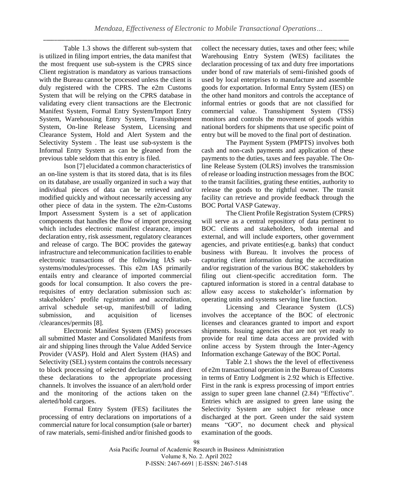Table 1.3 shows the different sub-system that is utilized in filing import entries, the data manifest that the most frequent use sub-system is the CPRS since Client registration is mandatory as various transactions with the Bureau cannot be processed unless the client is duly registered with the CPRS. The e2m Customs System that will be relying on the CPRS database in validating every client transactions are the Electronic Manifest System, Formal Entry System/Import Entry System, Warehousing Entry System, Transshipment System, On-line Release System, Licensing and Clearance System, Hold and Alert System and the Selectivity System . The least use sub-system is the Informal Entry System as can be gleaned from the previous table seldom that this entry is filed.

Ison [7] elucidated a common characteristics of an on-line system is that its stored data, that is its files on its database, are usually organized in such a way that individual pieces of data can be retrieved and/or modified quickly and without necessarily accessing any other piece of data in the system. The e2m-Customs Import Assessment System is a set of application components that handles the flow of import processing which includes electronic manifest clearance, import declaration entry, risk assessment, regulatory clearances and release of cargo. The BOC provides the gateway infrastructure and telecommunication facilities to enable electronic transactions of the following IAS subsystems/modules/processes. This e2m IAS primarily entails entry and clearance of imported commercial goods for local consumption. It also covers the prerequisites of entry declaration submission such as: stakeholders' profile registration and accreditation, arrival schedule set-up, manifest/bill of lading submission, and acquisition of licenses /clearances/permits [8].

Electronic Manifest System (EMS) processes all submitted Master and Consolidated Manifests from air and shipping lines through the Value Added Service Provider (VASP). Hold and Alert System (HAS) and Selectivity (SEL) system contains the controls necessary to block processing of selected declarations and direct these declarations to the appropriate processing channels. It involves the issuance of an alert/hold order and the monitoring of the actions taken on the alerted/hold cargoes.

Formal Entry System (FES) facilitates the processing of entry declarations on importations of a commercial nature for local consumption (sale or barter) of raw materials, semi-finished and/or finished goods to collect the necessary duties, taxes and other fees; while Warehousing Entry System (WES) facilitates the declaration processing of tax and duty free importations under bond of raw materials of semi-finished goods of used by local enterprises to manufacture and assemble goods for exportation. Informal Entry System (IES) on the other hand monitors and controls the acceptance of informal entries or goods that are not classified for commercial value. Transshipment System (TSS) monitors and controls the movement of goods within national borders for shipments that use specific point of entry but will be moved to the final port of destination.

The Payment System (PMPTS) involves both cash and non-cash payments and application of these payments to the duties, taxes and fees payable. The Online Release System (OLRS) involves the transmission of release or loading instruction messages from the BOC to the transit facilities, grating these entities, authority to release the goods to the rightful owner. The transit facility can retrieve and provide feedback through the BOC Portal VASP Gateway.

The Client Profile Registration System (CPRS) will serve as a central repository of data pertinent to BOC clients and stakeholders, both internal and external, and will include exporters, other government agencies, and private entities(e.g. banks) that conduct business with Bureau. It involves the process of capturing client information during the accreditation and/or registration of the various BOC stakeholders by filing out client-specific accreditation form. The captured information is stored in a central database to allow easy access to stakeholder's information by operating units and systems serving line function.

Licensing and Clearance System (LCS) involves the acceptance of the BOC of electronic licenses and clearances granted to import and export shipments. Issuing agencies that are not yet ready to provide for real time data access are provided with online access by System through the Inter-Agency Information exchange Gateway of the BOC Portal.

Table 2.1 shows the the level of effectiveness of e2m transactional operation in the Bureau of Customs in terms of Entry Lodgment is 2.92 which is Effective. First in the rank is express processing of import entries assign to super green lane channel (2.84) "Effective". Entries which are assigned to green lane using the Selectivity System are subject for release once discharged at the port. Green under the said system means "GO", no document check and physical examination of the goods.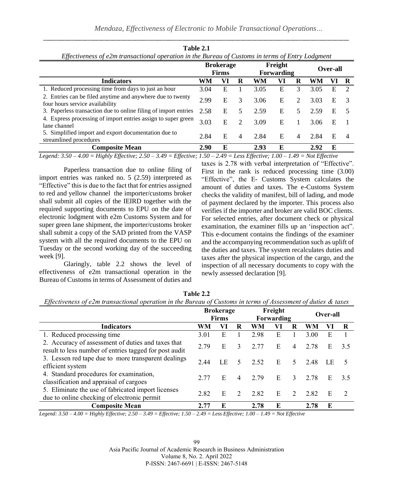*Mendoza, Effectiveness of Electronic to Mobile Transactional Operations…*

| Effectiveness of e2m transactional operation in the Bureau of Customs in terms of Entry Lodgment |                                  |    |   |                              |    |    |          |    |   |
|--------------------------------------------------------------------------------------------------|----------------------------------|----|---|------------------------------|----|----|----------|----|---|
|                                                                                                  | <b>Brokerage</b><br><b>Firms</b> |    |   | Freight<br><b>Forwarding</b> |    |    | Over-all |    |   |
| <b>Indicators</b>                                                                                | WM                               | VI | R | WM                           | Vl | R  | WM       | VI | R |
| 1. Reduced processing time from days to just an hour                                             | 3.04                             | E  |   | 3.05                         | E  | 3  | 3.05     | Е  |   |
| 2. Entries can be filed anytime and anywhere due to twenty<br>four hours service availability    | 2.99                             | E  | 3 | 3.06                         | Е  | 2  | 3.03     | Е  |   |
| 3. Paperless transaction due to online filing of import entries                                  | 2.58                             | E  | 5 | 2.59                         | Е  | 5. | 2.59     | Е  | 5 |
| 4. Express processing of import entries assign to super green<br>lane channel                    | 3.03                             | Е  | 2 | 3.09                         | Е  |    | 3.06     | Е  |   |
| 5. Simplified import and export documentation due to<br>streamlined procedures                   | 2.84                             | E  | 4 | 2.84                         | Е  | 4  | 2.84     | E  | 4 |
| <b>Composite Mean</b>                                                                            | 2.90                             | E  |   | 2.93                         | E  |    | 2.92     | E  |   |

**Table 2.1**

\_\_\_\_\_\_\_\_\_\_\_\_\_\_\_\_\_\_\_\_\_\_\_\_\_\_\_\_\_\_\_\_\_\_\_\_\_\_\_\_\_\_\_\_\_\_\_\_\_\_\_\_\_\_\_\_\_\_\_\_\_\_\_\_\_\_\_\_\_\_\_\_\_\_\_\_\_\_\_\_\_\_\_\_\_\_\_\_\_\_\_\_\_\_\_\_\_\_\_\_\_\_\_\_\_\_\_\_\_\_

*Legend: 3.50 – 4.00 = Highly Effective; 2.50 – 3.49 = Effective; 1.50 – 2.49 = Less Effective; 1.00 – 1.49 = Not Effective*

Paperless transaction due to online filing of import entries was ranked no. 5 (2.59) interpreted as "Effective" this is due to the fact that for entries assigned to red and yellow channel the importer/customs broker shall submit all copies of the IEIRD together with the required supporting documents to EPU on the date of electronic lodgment with e2m Customs System and for super green lane shipment, the importer/customs broker shall submit a copy of the SAD printed from the VASP system with all the required documents to the EPU on Tuesday or the second working day of the succeeding week [9].

Glaringly, table 2.2 shows the level of effectiveness of e2m transactional operation in the Bureau of Customs in terms of Assessment of duties and taxes is 2.78 with verbal interpretation of "Effective". First in the rank is reduced processing time (3.00) "Effective", the E- Customs System calculates the amount of duties and taxes. The e-Customs System checks the validity of manifest, bill of lading, and mode of payment declared by the importer. This process also verifies if the importer and broker are valid BOC clients. For selected entries, after document check or physical examination, the examiner fills up an 'inspection act". This e-document contains the findings of the examiner and the accompanying recommendation such as uplift of the duties and taxes. The system recalculates duties and taxes after the physical inspection of the cargo, and the inspection of all necessary documents to copy with the newly assessed declaration [9].

**Table 2.2** *Effectiveness of e2m transactional operation in the Bureau of Customs in terms of Assessment of duties & taxes*

|                                                                                                              | <b>Brokerage</b> |    | Freight       |      |    |                |          |     |               |
|--------------------------------------------------------------------------------------------------------------|------------------|----|---------------|------|----|----------------|----------|-----|---------------|
|                                                                                                              | <b>Firms</b>     |    | Forwarding    |      |    |                | Over-all |     |               |
| <b>Indicators</b>                                                                                            | WM               | VI | R             | WM   | Vì | R              | WM       | V I | R             |
| 1. Reduced processing time                                                                                   | 3.01             | E  |               | 2.98 | E  |                | 3.00     | E   |               |
| 2. Accuracy of assessment of duties and taxes that<br>result to less number of entries tagged for post audit | 2.79             | E  | 3             | 2.77 | E  | $\overline{4}$ | 2.78     | Е   | 3.5           |
| 3. Lessen red tape due to more transparent dealings<br>efficient system                                      | 2.44             | LΕ | 5             | 2.52 | E. | 5.             | 2.48     | LE  |               |
| 4. Standard procedures for examination,<br>classification and appraisal of cargoes                           | 2.77             | E  | 4             | 2.79 | E  | 3              | 2.78     | E   | 3.5           |
| 5. Eliminate the use of fabricated import licenses<br>due to online checking of electronic permit            | 2.82             | E  | $\mathcal{D}$ | 2.82 | E  | $\mathcal{L}$  | 2.82     | E   | $\mathcal{L}$ |
| <b>Composite Mean</b>                                                                                        | 2.77             | E  |               | 2.78 | E  |                | 2.78     | E   |               |

*Legend: 3.50 – 4.00 = Highly Effective; 2.50 – 3.49 = Effective; 1.50 – 2.49 = Less Effective; 1.00 – 1.49 = Not Effective*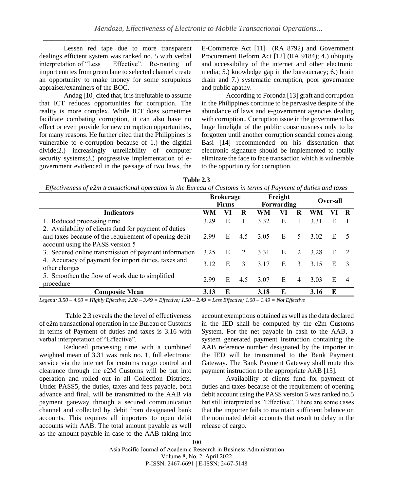Lessen red tape due to more transparent dealings efficient system was ranked no. 5 with verbal interpretation of "Less Effective". Re-routing of import entries from green lane to selected channel create an opportunity to make money for some scrupulous appraiser/examiners of the BOC.

Andag [10] cited that, it is irrefutable to assume that ICT reduces opportunities for corruption. The reality is more complex. While ICT does sometimes facilitate combating corruption, it can also have no effect or even provide for new corruption opportunities, for many reasons. He further cited that the Philippines is vulnerable to e-corruption because of 1.) the digitial divide;2.) increasingly unreliability of computer security systems;3.) progressive implementation of egovernment evidenced in the passage of two laws, the E-Commerce Act [11] (RA 8792) and Government Procurement Reform Act [12] (RA 9184); 4.) ubiquity and accessibility of the internet and other electronic media; 5.) knowledge gap in the bureaucracy; 6.) brain drain and 7.) systematic corruption, poor governance and public apathy.

According to Foronda [13] graft and corruption in the Philippines continue to be pervasive despite of the abundance of laws and e-government agencies dealing with corruption.. Corruption issue in the government has huge limelight of the public consciousness only to be forgotten until another corruption scandal comes along. Basi [14] recommended on his dissertation that electronic signature should be implemented to totally eliminate the face to face transaction which is vulnerable to the opportunity for corruption.

| Table 2.3                                                                                                     |
|---------------------------------------------------------------------------------------------------------------|
| Effectiveness of e2m transactional operation in the Bureau of Customs in terms of Payment of duties and taxes |

|                                                       | <b>Brokerage</b> |              |               | Freight |            |               |      |          |   |
|-------------------------------------------------------|------------------|--------------|---------------|---------|------------|---------------|------|----------|---|
|                                                       |                  | <b>Firms</b> |               |         | Forwarding |               |      | Over-all |   |
| <b>Indicators</b>                                     | WM               | VI           | R             | WM      | Vì         |               | WM   |          |   |
| 1. Reduced processing time                            | 3.29             | E            |               | 3.32    | E          |               | 3.31 | E        |   |
| 2. Availability of clients fund for payment of duties |                  |              |               |         |            |               |      |          |   |
| and taxes because of the requirement of opening debit | 2.99             | E            | 4.5           | 3.05    | E          | 5             | 3.02 | E        |   |
| account using the PASS version 5                      |                  |              |               |         |            |               |      |          |   |
| 3. Secured online transmission of payment information | 3.25             | E            | $\mathcal{L}$ | 3.31    | E          | $\mathcal{L}$ | 3.28 | E        |   |
| 4. Accuracy of payment for import duties, taxes and   | 3.12             | E            | 3             | 3.17    | E          | 3             | 3.15 | E        |   |
| other charges                                         |                  |              |               |         |            |               |      |          |   |
| 5. Smoothen the flow of work due to simplified        | 2.99             | E            | 4.5           | 3.07    | E          | 4             | 3.03 | E        | 4 |
| procedure                                             |                  |              |               |         |            |               |      |          |   |
| <b>Composite Mean</b>                                 | 3.13             | E            |               | 3.18    | E          |               | 3.16 | E        |   |

*Legend: 3.50 – 4.00 = Highly Effective; 2.50 – 3.49 = Effective; 1.50 – 2.49 = Less Effective; 1.00 – 1.49 = Not Effective*

Table 2.3 reveals the the level of effectiveness of e2m transactional operation in the Bureau of Customs in terms of Payment of duties and taxes is 3.16 with verbal interpretation of "Effective".

Reduced processing time with a combined weighted mean of 3.31 was rank no. 1, full electronic service via the internet for customs cargo control and clearance through the e2M Customs will be put into operation and rolled out in all Collection Districts. Under PASS5, the duties, taxes and fees payable, both advance and final, will be transmitted to the AAB via payment gateway through a secured communication channel and collected by debit from designated bank accounts. This requires all importers to open debit accounts with AAB. The total amount payable as well as the amount payable in case to the AAB taking into

account exemptions obtained as well as the data declared in the IED shall be computed by the e2m Customs System. For the net payable in cash to the AAB, a system generated payment instruction containing the AAB reference number designated by the importer in the IED will be transmitted to the Bank Payment Gateway. The Bank Payment Gateway shall route this payment instruction to the appropriate AAB [15].

Availability of clients fund for payment of duties and taxes because of the requirement of opening debit account using the PASS version 5 was ranked no.5 but still interpreted as "Effective". There are some cases that the importer fails to maintain sufficient balance on the nominated debit accounts that result to delay in the release of cargo.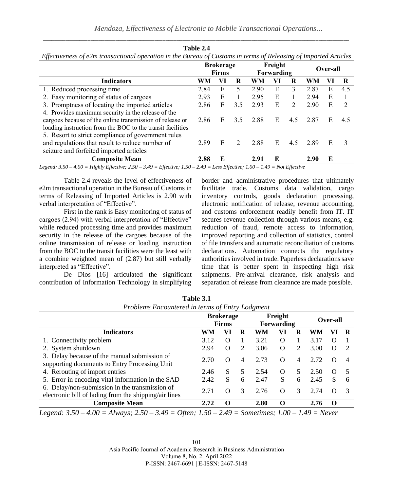| Effectiveness of e2m transactional operation in the Bureau of Customs in terms of Releasing of Imported Articles |                                  |    |     |                       |    |     |      |   |               |          |  |
|------------------------------------------------------------------------------------------------------------------|----------------------------------|----|-----|-----------------------|----|-----|------|---|---------------|----------|--|
|                                                                                                                  | <b>Brokerage</b><br><b>Firms</b> |    |     | Freight<br>Forwarding |    |     |      |   |               | Over-all |  |
| <b>Indicators</b>                                                                                                | WM                               | VI | R   | WM                    | Vl | R   | WM   |   | R             |          |  |
| 1. Reduced processing time                                                                                       | 2.84                             | E  | 5   | 2.90                  | E  | 3   | 2.87 | E | 4.5           |          |  |
| 2. Easy monitoring of status of cargoes                                                                          | 2.93                             | E  |     | 2.95                  | E  |     | 2.94 | Е |               |          |  |
| 3. Promptness of locating the imported articles                                                                  | 2.86                             | E  | 3.5 | 2.93                  | E  | 2   | 2.90 | E | $\mathcal{L}$ |          |  |
| 4. Provides maximum security in the release of the                                                               |                                  |    |     |                       |    |     |      |   |               |          |  |
| cargoes because of the online transmission of release or                                                         | 2.86                             | E  | 3.5 | 2.88                  | E  | 4.5 | 2.87 | Е | 4.5           |          |  |
| loading instruction from the BOC to the transit facilities                                                       |                                  |    |     |                       |    |     |      |   |               |          |  |
| 5. Resort to strict compliance of government rules                                                               |                                  |    |     |                       |    |     |      |   |               |          |  |
| and regulations that result to reduce number of                                                                  | 2.89                             | E  | 2   | 2.88                  | E  | 4.5 | 2.89 | E |               |          |  |
| seizure and forfeited imported articles                                                                          |                                  |    |     |                       |    |     |      |   |               |          |  |
| <b>Composite Mean</b>                                                                                            | 2.88                             | E  |     | 2.91                  | E  |     | 2.90 | E |               |          |  |

**Table 2.4**

*Legend: 3.50 – 4.00 = Highly Effective; 2.50 – 3.49 = Effective; 1.50 – 2.49 = Less Effective; 1.00 – 1.49 = Not Effective*

Table 2.4 reveals the level of effectiveness of e2m transactional operation in the Bureau of Customs in terms of Releasing of Imported Articles is 2.90 with verbal interpretation of "Effective".

First in the rank is Easy monitoring of status of cargoes (2.94) with verbal interpretation of "Effective" while reduced processing time and provides maximum security in the release of the cargoes because of the online transmission of release or loading instruction from the BOC to the transit facilities were the least with a combine weighted mean of (2.87) but still verbally interpreted as "Effective".

De Dios [16] articulated the significant contribution of Information Technology in simplifying border and administrative procedures that ultimately facilitate trade. Customs data validation, cargo inventory controls, goods declaration processing, electronic notification of release, revenue accounting, and customs enforcement readily benefit from IT. IT secures revenue collection through various means, e.g. reduction of fraud, remote access to information, improved reporting and collection of statistics, control of file transfers and automatic reconciliation of customs declarations. Automation connects the regulatory authorities involved in trade. Paperless declarations save time that is better spent in inspecting high risk shipments. Pre-arrival clearance, risk analysis and separation of release from clearance are made possible.

| Problems Encountered in terms of Entry Lodgment                                                         |                                  |          |   |                              |          |                             |      |                  |    |
|---------------------------------------------------------------------------------------------------------|----------------------------------|----------|---|------------------------------|----------|-----------------------------|------|------------------|----|
|                                                                                                         | <b>Brokerage</b><br><b>Firms</b> |          |   | Freight<br><b>Forwarding</b> | Over-all |                             |      |                  |    |
| <b>Indicators</b>                                                                                       | WM                               | VI       | R | WM                           | VI       | R                           | WM   | VI               |    |
| 1. Connectivity problem                                                                                 | 3.12                             | $\Omega$ |   | 3.21                         | O        |                             | 3.17 | $\Omega$         |    |
| 2. System shutdown                                                                                      | 2.94                             | O        | 2 | 3.06                         | $\Omega$ | $\mathcal{D}_{\mathcal{L}}$ | 3.00 | $\Omega$         |    |
| 3. Delay because of the manual submission of<br>supporting documents to Entry Processing Unit           | 2.70                             | $\Omega$ | 4 | 2.73                         | $\Omega$ | 4                           | 2.72 | $\left( \right)$ | 4  |
| 4. Rerouting of import entries                                                                          | 2.46                             | S        | 5 | 2.54                         | $\Omega$ | 5                           | 2.50 | $\Omega$         | -5 |
| 5. Error in encoding vital information in the SAD                                                       | 2.42                             | S        | 6 | 2.47                         | S        | 6                           | 2.45 | S                | 6  |
| 6. Delay/non-submission in the transmission of<br>electronic bill of lading from the shipping/air lines | 2.71                             | $\Omega$ | 3 | 2.76                         | ∩        | 3                           | 2.74 | $\Omega$         | 3  |
| <b>Composite Mean</b>                                                                                   | 2.72                             | $\Omega$ |   | 2.80                         | $\Omega$ |                             | 2.76 | $\Omega$         |    |

**Table 3.1**

*Legend: 3.50 – 4.00 = Always; 2.50 – 3.49 = Often; 1.50 – 2.49 = Sometimes; 1.00 – 1.49 = Never*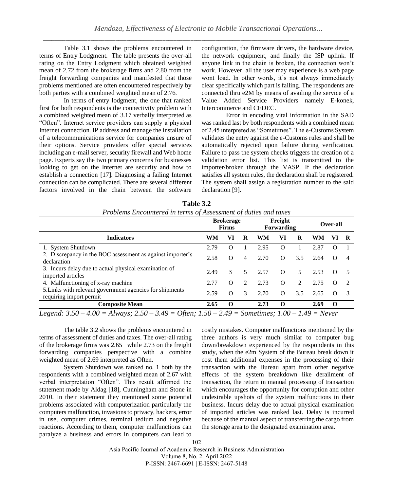Table 3.1 shows the problems encountered in terms of Entry Lodgment. The table presents the over-all rating on the Entry Lodgment which obtained weighted mean of 2.72 from the brokerage firms and 2.80 from the freight forwarding companies and manifested that those problems mentioned are often encountered respectively by both parties with a combined weighted mean of 2.76.

In terms of entry lodgment, the one that ranked first for both respondents is the connectivity problem with a combined weighted mean of 3.17 verbally interpreted as "Often". Internet service providers can supply a physical Internet connection. IP address and manage the installation of a telecommunications service for companies unsure of their options. Service providers offer special services including an e-mail server, security firewall and Web home page. Experts say the two primary concerns for businesses looking to get on the Internet are security and how to establish a connection [17]. Diagnosing a failing Internet connection can be complicated. There are several different factors involved in the chain between the software configuration, the firmware drivers, the hardware device, the network equipment, and finally the ISP uplink. If anyone link in the chain is broken, the connection won't work. However, all the user may experience is a web page wont load. In other words, it's not always immediately clear specifically which part is failing. The respondents are connected thru e2M by means of availing the service of a Value Added Service Providers namely E-konek, Intercommerce and CEDEC.

Error in encoding vital information in the SAD was ranked last by both respondents with a combined mean of 2.45 interpreted as "Sometimes". The e-Customs System validates the entry against the e-Customs rules and shall be automatically rejected upon failure during verification. Failure to pass the system checks triggers the creation of a validation error list. This list is transmitted to the importer/broker through the VASP. If the declaration satisfies all system rules, the declaration shall be registered. The system shall assign a registration number to the said declaration [9].

| Table 3.2                                                       |
|-----------------------------------------------------------------|
| Problems Encountered in terms of Assessment of duties and taxes |

| VI<br>$\Omega$ |   |
|----------------|---|
|                |   |
|                |   |
| O              | 4 |
| $\Omega$       |   |
| $\Omega$       | 2 |
| $\Omega$       |   |
| $\bf{0}$       |   |
| $\mathbf{r}$   |   |

*Legend: 3.50 – 4.00 = Always; 2.50 – 3.49 = Often; 1.50 – 2.49 = Sometimes; 1.00 – 1.49 = Never*

The table 3.2 shows the problems encountered in terms of assessment of duties and taxes. The over-all rating of the brokerage firms was 2.65 while 2.73 on the freight forwarding companies perspective with a combine weighted mean of 2.69 interpreted as Often.

System Shutdown was ranked no. 1 both by the respondents with a combined weighted mean of 2.67 with verbal interpretation "Often". This result affirmed the statement made by Aldag [18], Cunningham and Stone in 2010. In their statement they mentioned some potential problems associated with computerization particularly the computers malfunction, invasions to privacy, hackers, error in use, computer crimes, terminal tedium and negative reactions. According to them, computer malfunctions can paralyze a business and errors in computers can lead to costly mistakes. Computer malfunctions mentioned by the three authors is very much similar to computer bug down/breakdown experienced by the respondents in this study, when the e2m System of the Bureau break down it cost them additional expenses in the processing of their transaction with the Bureau apart from other negative effects of the system breakdown like derailment of transaction, the return in manual processing of transaction which encourages the opportunity for corruption and other undesirable upshots of the system malfunctions in their business. Incurs delay due to actual physical examination of imported articles was ranked last. Delay is incurred because of the manual aspect of transferring the cargo from the storage area to the designated examination area.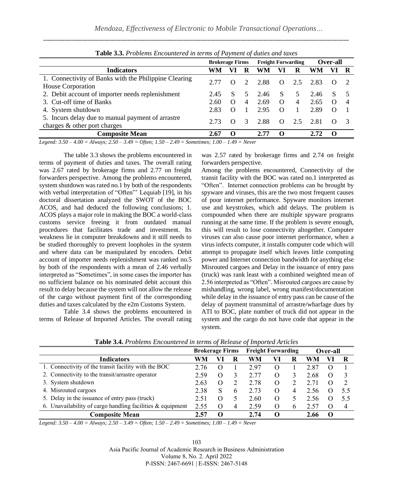|                                                                                                                                                                                                                                                                     | <b>Brokerage Firms</b> |          | <b>Freight Forwarding</b>   |      |              | <b>Over-all</b> |      |          |  |
|---------------------------------------------------------------------------------------------------------------------------------------------------------------------------------------------------------------------------------------------------------------------|------------------------|----------|-----------------------------|------|--------------|-----------------|------|----------|--|
| <b>Indicators</b>                                                                                                                                                                                                                                                   | WM                     |          | R                           | WМ   | VI           | R               | WM   |          |  |
| 1. Connectivity of Banks with the Philippine Clearing                                                                                                                                                                                                               | 2.77                   | $\theta$ | $\mathcal{D}_{\mathcal{L}}$ | 2.88 | $\Omega$     | 2.5             | 2.83 |          |  |
| House Corporation                                                                                                                                                                                                                                                   |                        |          |                             |      |              |                 |      |          |  |
| 2. Debit account of importer needs replenishment                                                                                                                                                                                                                    | 2.45                   | S.       | 5.                          | 2.46 | <sup>S</sup> | 5               | 2.46 | S.       |  |
| 3. Cut-off time of Banks                                                                                                                                                                                                                                            | 2.60                   | $\Omega$ | 4                           | 2.69 | $\Omega$     | 4               | 2.65 | $\Omega$ |  |
| 4. System shutdown                                                                                                                                                                                                                                                  | 2.83                   | $\Omega$ |                             | 2.95 | $\Omega$     |                 | 2.89 | $\Omega$ |  |
| 5. Incurs delay due to manual payment of arrastre                                                                                                                                                                                                                   | 2.73                   |          | 3                           | 2.88 |              | 2.5             | 2.81 |          |  |
| charges & other port charges                                                                                                                                                                                                                                        |                        | $\theta$ |                             |      | $\Omega$     |                 |      | $\theta$ |  |
| <b>Composite Mean</b>                                                                                                                                                                                                                                               | 2.67                   | $\Omega$ |                             | 2.77 | $\Omega$     |                 | 2.72 | $\Omega$ |  |
| $T = 1.250 - 1.00 - 11 = 2.50 - 2.10 - 0.0 - 1.50 - 0.00 - 1.00 - 1.00 - 1.00 - 1.00 - 1.00 - 1.00 - 1.00 - 1.00 - 1.00 - 1.00 - 1.00 - 1.00 - 1.00 - 1.00 - 1.00 - 1.00 - 1.00 - 1.00 - 1.00 - 1.00 - 1.00 - 1.00 - 1.00 - 1.00 - 1.00 - 1.00 - 1.00 - 1.00 - 1.0$ |                        |          |                             |      |              |                 |      |          |  |

**Table 3.3.** *Problems Encountered in terms of Payment of duties and taxes*

*Legend: 3.50 – 4.00 = Always; 2.50 – 3.49 = Often; 1.50 – 2.49 = Sometimes; 1.00 – 1.49 = Never*

The table 3.3 shows the problems encountered in terms of payment of duties and taxes. The overall rating was 2.67 rated by brokerage firms and 2.77 on freight forwarders perspective. Among the problems encountered, system shutdown was rated no.1 by both of the respondents with verbal interpretation of "Often"' Lequiab [19], in his doctoral dissertation analyzed the SWOT of the BOC ACOS, and had deduced the following conclusions; 1. ACOS plays a major role in making the BOC a world-class customs service freeing it from outdated manual procedures that facilitates trade and investment. Its weakness lie in computer breakdowns and it still needs to be studied thoroughly to prevent loopholes in the system and where data can be manipulated by encoders. Debit account of importer needs replenishment was ranked no.5 by both of the respondents with a mean of 2.46 verbally interpreted as "Sometimes", in some cases the importer has no sufficient balance on his nominated debit account this result to delay because the system will not allow the release of the cargo without payment first of the corresponding duties and taxes calculated by the e2m Customs System*.* 

Table 3.4 shows the problems encountered in terms of Release of Imported Articles. The overall rating was 2.57 rated by brokerage firms and 2.74 on freight forwarders perspective.

Among the problems encountered, Connectivity of the transit facility with the BOC was rated no.1 interpreted as "Often". Internet connection problems can be brought by spyware and viruses, this are the two most frequent causes of poor internet performance. Spyware monitors internet use and keystrokes, which add delays. The problem is compounded when there are multiple spyware programs running at the same time. If the problem is severe enough, this will result to lose connectivity altogether. Computer viruses can also cause poor internet performance, when a virus infects computer, it installs computer code which will attempt to propagate itself which leaves little computing power and Internet connection bandwidth for anything else Misrouted cargoes and Delay in the issuance of entry pass (truck) was rank least with a combined weighted mean of 2.56 interpreted as "Often". Misrouted cargoes are cause by mishandling, wrong label, wrong manifest/documentation while delay in the issuance of entry pass can be cause of the delay of payment transmittal of arrastre/wharfage dues by ATI to BOC, plate number of truck did not appear in the system and the cargo do not have code that appear in the system*.* 

|                                                               | <b>Brokerage Firms</b> |          | <b>Freight Forwarding</b> |      |            | <b>Over-all</b> |      |   |      |
|---------------------------------------------------------------|------------------------|----------|---------------------------|------|------------|-----------------|------|---|------|
| <b>Indicators</b>                                             | WM                     |          | к                         | WM   |            | к               | WM   |   |      |
| 1. Connectivity of the transit facility with the BOC          | 2.76                   |          |                           | 2.97 |            |                 |      |   |      |
| 2. Connectivity to the transit/arrastre operator              | 2.59                   | O        |                           | 2.77 | O          |                 | 2.68 |   |      |
| 3. System shutdown                                            | 2.63                   | $\theta$ |                           | 2.78 | O          |                 |      |   |      |
| 4. Misrouted cargoes                                          | 2.38                   | S        | b                         | 2.73 | O          | 4               | 2.56 |   |      |
| 5. Delay in the issuance of entry pass (truck)                | 2.51                   | O        |                           | 2.60 | $\epsilon$ |                 | 2.56 |   | -5.5 |
| 6. Unavailability of cargo handling facilities $\&$ equipment | 2.55                   |          | 4                         | 2.59 | O          | h               | 2.57 |   |      |
| <b>Composite Mean</b>                                         | 2.57                   |          |                           | 2.74 | 0          |                 | 2.66 | 0 |      |

**Table 3.4.** *Problems Encountered in terms of Release of Imported Articles*

*Legend: 3.50 – 4.00 = Always; 2.50 – 3.49 = Often; 1.50 – 2.49 = Sometimes; 1.00 – 1.49 = Never*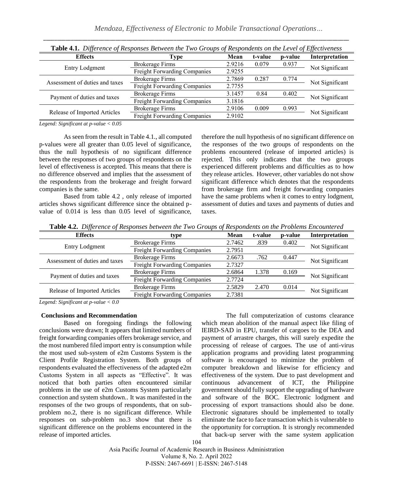| <b>Table 4.1.</b> Difference of Responses Detween the Two Groups of Respondents on the Level of Effectiveness |                                     |        |         |         |                 |  |  |
|---------------------------------------------------------------------------------------------------------------|-------------------------------------|--------|---------|---------|-----------------|--|--|
| <b>Effects</b>                                                                                                | Type                                | Mean   | t-value | p-value | Interpretation  |  |  |
| Entry Lodgment                                                                                                | <b>Brokerage Firms</b>              | 2.9216 | 0.079   | 0.937   | Not Significant |  |  |
|                                                                                                               | Freight Forwarding Companies        | 2.9255 |         |         |                 |  |  |
| Assessment of duties and taxes                                                                                | <b>Brokerage Firms</b>              | 2.7869 | 0.287   | 0.774   | Not Significant |  |  |
|                                                                                                               | Freight Forwarding Companies        | 2.7755 |         |         |                 |  |  |
| Payment of duties and taxes                                                                                   | Brokerage Firms                     | 3.1457 | 0.84    | 0.402   | Not Significant |  |  |
|                                                                                                               | <b>Freight Forwarding Companies</b> | 3.1816 |         |         |                 |  |  |
| Release of Imported Articles                                                                                  | <b>Brokerage Firms</b>              | 2.9106 | 0.009   | 0.993   | Not Significant |  |  |
|                                                                                                               | Freight Forwarding Companies        | 2.9102 |         |         |                 |  |  |

\_\_\_\_\_\_\_\_\_\_\_\_\_\_\_\_\_\_\_\_\_\_\_\_\_\_\_\_\_\_\_\_\_\_\_\_\_\_\_\_\_\_\_\_\_\_\_\_\_\_\_\_\_\_\_\_\_\_\_\_\_\_\_\_\_\_\_\_\_\_\_\_\_\_\_\_\_\_\_\_\_\_\_\_\_\_\_\_\_\_\_\_\_\_\_\_\_\_\_\_\_\_\_\_\_\_\_\_\_\_ **Table 4.1.** *Difference of Responses Between the Two Groups of Respondents on the Level of Effectiveness*

*Legend: Significant at p-value < 0.05*

As seen from the result in Table 4.1., all computed p-values were all greater than 0.05 level of significance, thus the null hypothesis of no significant difference between the responses of two groups of respondents on the level of effectiveness is accepted. This means that there is no difference observed and implies that the assessment of the respondents from the brokerage and freight forward companies is the same.

Based from table 4.2 , only release of imported articles shows significant difference since the obtained pvalue of 0.014 is less than 0.05 level of significance, therefore the null hypothesis of no significant difference on the responses of the two groups of respondents on the problems encountered (release of imported articles) is rejected. This only indicates that the two groups experienced different problems and difficulties as to how they release articles. However, other variables do not show significant difference which denotes that the respondents from brokerage firm and freight forwarding companies have the same problems when it comes to entry lodgment, assessment of duties and taxes and payments of duties and taxes.

**Table 4.2.** *Difference of Responses between the Two Groups of Respondents on the Problems Encountered* 

| <b>Effects</b>                      | type                                | Mean   | t-value | p-value | Interpretation  |  |
|-------------------------------------|-------------------------------------|--------|---------|---------|-----------------|--|
| Entry Lodgment                      | <b>Brokerage Firms</b>              | 2.7462 | .839    | 0.402   | Not Significant |  |
|                                     | <b>Freight Forwarding Companies</b> | 2.7951 |         |         |                 |  |
| Assessment of duties and taxes      | <b>Brokerage Firms</b>              | 2.6673 | .762    | 0.447   | Not Significant |  |
|                                     | <b>Freight Forwarding Companies</b> | 2.7327 |         |         |                 |  |
| Payment of duties and taxes         | <b>Brokerage Firms</b>              | 2.6864 | 1.378   | 0.169   | Not Significant |  |
|                                     | <b>Freight Forwarding Companies</b> | 2.7724 |         |         |                 |  |
| <b>Release of Imported Articles</b> | <b>Brokerage Firms</b>              | 2.5829 | 2.470   | 0.014   | Not Significant |  |
|                                     | <b>Freight Forwarding Companies</b> | 2.7381 |         |         |                 |  |

*Legend: Significant at p-value < 0.0*

#### **Conclusions and Recommendation**

Based on foregoing findings the following conclusions were drawn; It appears that limited numbers of freight forwarding companies offers brokerage service, and the most numbered filed import entry is consumption while the most used sub-system of e2m Customs System is the Client Profile Registration System. Both groups of respondents evaluated the effectiveness of the adapted e2m Customs System in all aspects as "Effective". It was noticed that both parties often encountered similar problems in the use of e2m Customs System particularly connection and system shutdown.. It was manifested in the responses of the two groups of respondents, that on subproblem no.2, there is no significant difference. While responses on sub-problem no.3 show that there is significant difference on the problems encountered in the release of imported articles.

The full computerization of customs clearance which mean abolition of the manual aspect like filing of IEIRD-SAD in EPU, transfer of cargoes to the DEA and payment of arrastre charges, this will surely expedite the processing of release of cargoes. The use of anti-virus application programs and providing latest programming software is encouraged to minimize the problem of computer breakdown and likewise for efficiency and effectiveness of the system. Due to past development and continuous advancement of ICT, the Philippine government should fully support the upgrading of hardware and software of the BOC. Electronic lodgment and processing of export transactions should also be done. Electronic signatures should be implemented to totally eliminate the face to face transaction which is vulnerable to the opportunity for corruption. It is strongly recommended that back-up server with the same system application